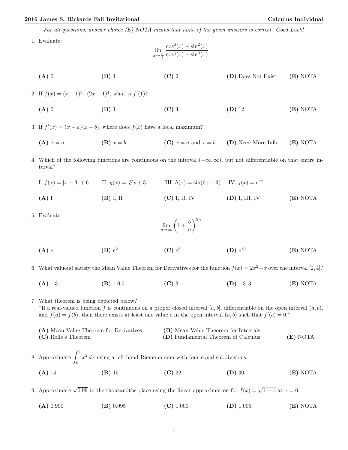## 2016 James S. Rickards Fall Invitational Calculus Individual

For all questions, answer choice (E) NOTA means that none of the given answers is correct. Good Luck!

1. Evaluate:

$$
\lim_{x \to \frac{\pi}{4}} \frac{\cos^2(x) - \sin^2(x)}{\cos^4(x) - \sin^4(x)}
$$

- (A) 0 (B) 1 (C) 2 (D) Does Not Exist (E) NOTA
- 2. If  $f(x) = (x-1)^3 \cdot (2x-1)^4$ , what is  $f'(1)$ ?
	- (A) 0 (B) 1 (C) 4 (D) 12 (E) NOTA

3. If  $f'(x) = (x - a)(x - b)$ , where does  $f(x)$  have a local maximum?

- (A)  $x = a$  (B)  $x = b$  (C)  $x = a$  and  $x = b$  (D) Need More Info. (E) NOTA
- 4. Which of the following functions are continuous on the interval (−∞, ∞), but not differentiable on that entire interval?
	- I.  $f(x) = |x 3| + 6$  II.  $g(x) = \sqrt[3]{x} + 3$  III.  $h(x) = \sin(6x 3)$  IV.  $j(x) = e^{ex}$ (A) I (B) I, II (C) I, II, IV (D) I, III, IV (E) NOTA
- 5. Evaluate:

$$
\lim_{n \to \infty} \left( 1 + \frac{5}{n} \right)^{2n}
$$

- $(A)$  e  $(B) e<sup>2</sup>$  $(C) e<sup>5</sup>$ (D)  $e^{10}$  $(E)$  NOTA
- 6. What value(s) satisfy the Mean Value Theorem for Derivatives for the function  $f(x) = 2x^2 x$  over the interval [2,4]?
	- (A) −3 (B) −0.5 (C) 3 (D) −3, 3 (E) NOTA

7. What theorem is being depicted below? "If a real-valued function f is continuous on a proper closed interval [a, b], differentiable on the open interval  $(a, b)$ , and  $f(a) = f(b)$ , then there exists at least one value c in the open interval  $(a, b)$  such that  $f'(c) = 0$ ."

(A) Mean Value Theorem for Derivatives (B) Mean Value Theorem for Integrals (C) Rolle's Theorem (D) Fundamental Theorem of Calculus (E) NOTA

8. Approximate  $\int_0^4$ 0  $x^2 dx$  using a left-hand Riemann sum with four equal subdivisions. (A) 14 (B) 15 (C) 22 (D) 30 (E) NOTA

9. Approximate  $\sqrt{0.99}$  to the thousandths place using the linear approximation for  $f(x) = \sqrt{1-x}$  at  $x = 0$ .

(A)  $0.990$  (B)  $0.995$  (C)  $1.000$  (D)  $1.005$  (E) NOTA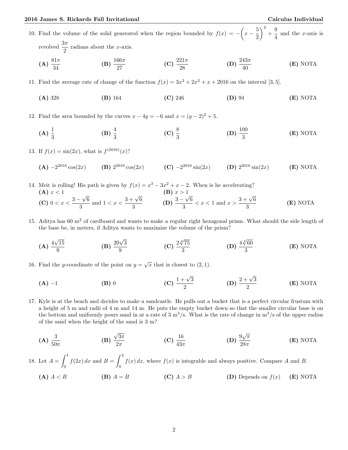10. Find the volume of the solid generated when the region bounded by  $f(x) = -\left(x - \frac{5}{5}\right)$ 2  $\big)^2 + \frac{9}{4}$  $\frac{6}{4}$  and the *x*-axis is revolved  $\frac{3\pi}{2}$  radians about the *x*-axis.

(A) 
$$
\frac{81\pi}{34}
$$
 \t\t (B)  $\frac{166\pi}{27}$  \t\t (C)  $\frac{221\pi}{28}$  \t\t (D)  $\frac{243\pi}{40}$  \t\t (E) NOTA

11. Find the average rate of change of the function  $f(x) = 3x^3 + 2x^2 + x + 2016$  on the interval [3, 5].

(A) 328 (B) 164 (C) 246 (D) 94 (E) NOTA

12. Find the area bounded by the curves  $x - 4y = -6$  and  $x = (y - 2)^2 + 5$ .

(A)  $\frac{1}{3}$ (B)  $\frac{4}{3}$  (C)  $\frac{8}{3}$ (D)  $\frac{100}{3}$ (E) NOTA

13. If  $f(x) = \sin(2x)$ , what is  $f^{(2016)}(x)$ ?

(**A**) 
$$
-2^{2016}\cos(2x)
$$
 (**B**)  $2^{2016}\cos(2x)$  (**C**)  $-2^{2016}\sin(2x)$  (**D**)  $2^{2016}\sin(2x)$  (**E**) NOTA

- 14. Meit is rolling! His path is given by  $f(x) = x^3 3x^2 + x 2$ . When is he accelerating? (A)  $x < 1$  (B)  $x > 1$ (C) 0 <  $x < \frac{3-1}{2}$ √ 6  $\frac{-\sqrt{6}}{3}$  and  $1 < x < \frac{3+\sqrt{6}}{3}$  $\frac{-\sqrt{6}}{3}$  (D)  $\frac{3-}{3}$  $\mathbf{r}$ 6  $\frac{3}{3} \cdot \frac{\sqrt{6}}{3}$  <  $x$  < 1 and  $x > \frac{3 + \sqrt{6}}{3}$ 3 (E) NOTA
- 15. Aditya has 60  $\text{m}^2$  of cardboard and wants to make a regular right hexagonal prism. What should the side length of the base be, in meters, if Aditya wants to maximize the volume of the prism?

(A) 
$$
\frac{4\sqrt{15}}{9}
$$
 (B)  $\frac{20\sqrt{3}}{9}$  (C)  $\frac{2\sqrt[4]{75}}{3}$  (D)  $\frac{4\sqrt[4]{60}}{3}$  (E) NOTA

- 16. Find the y-coordinate of the point on  $y = \sqrt{x}$  that is closest to (2, 1).
	- (A) −1 (B) 0 (C)  $\frac{1+\sqrt{3}}{2}$  $\frac{1-\sqrt{3}}{2}$  (D)  $\frac{2+\sqrt{3}}{2}$ 2 (E) NOTA
- 17. Kyle is at the beach and decides to make a sandcastle. He pulls out a bucket that is a perfect circular frustum with a height of 5 m and radii of 4 m and 14 m. He puts the empty bucket down so that the smaller circular base is on the bottom and uniformly pours sand in at a rate of 3  $\rm m^3/s$ . What is the rate of change in  $\rm m^3/s$  of the upper radius of the sand when the height of the sand is 3 m?

(A) 
$$
\frac{3}{50\pi}
$$
 \t\t (B)  $\frac{\sqrt{3\pi}}{2\pi}$  \t\t (C)  $\frac{16}{43\pi}$  \t\t (D)  $\frac{9\sqrt{\pi}}{28\pi}$  \t\t (E) NOTA

18. Let  $A = \int_0^1$ 0  $f(2x) dx$  and  $B = \int_0^2$ 0  $f(x) dx$ , where  $f(x)$  is integrable and always positive. Compare A and B.

\n (A) 
$$
A < B
$$
    \n (B)  $A = B$     \n (C)  $A > B$     \n (D) Depends on  $f(x)$     \n (E) NOTA\n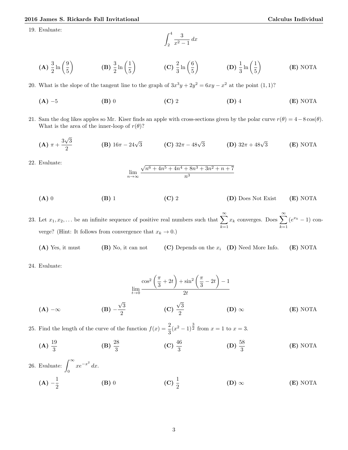19. Evaluate:

$$
\int_2^4 \frac{3}{x^2 - 1} \, dx
$$

$$
\textbf{(A)} \ \frac{3}{2} \ln\left(\frac{9}{5}\right) \qquad \qquad \textbf{(B)} \ \frac{3}{2} \ln\left(\frac{1}{5}\right) \qquad \qquad \textbf{(C)} \ \frac{2}{3} \ln\left(\frac{6}{5}\right) \qquad \qquad \textbf{(D)} \ \frac{1}{3} \ln\left(\frac{1}{5}\right) \qquad \qquad \textbf{(E) NOTA}
$$

20. What is the slope of the tangent line to the graph of  $3x^3y + 2y^2 = 6xy - x^2$  at the point  $(1,1)$ ?

- (A) −5 (B) 0 (C) 2 (D) 4 (E) NOTA
- 21. Sam the dog likes apples so Mr. Kiser finds an apple with cross-sections given by the polar curve  $r(\theta) = 4-8\cos(\theta)$ . What is the area of the inner-loop of  $r(\theta)$ ?

(**A**) 
$$
\pi + \frac{3\sqrt{3}}{2}
$$
 (**B**)  $16\pi - 24\sqrt{3}$  (**C**)  $32\pi - 48\sqrt{3}$  (**D**)  $32\pi + 48\sqrt{3}$  (**E**) NOTA

22. Evaluate:

$$
\lim_{n \to \infty} \frac{\sqrt{n^6 + 4n^5 + 4n^4 + 8n^3 + 3n^2 + n + 7}}{n^3}
$$

$$
(A) 0 \t\t (B) 1 \t\t (C) 2 \t\t (D) Does Not Exist \t\t (E) NOTA
$$

23. Let  $x_1, x_2, \ldots$  be an infinite sequence of positive real numbers such that  $\sum_{n=1}^{\infty}$  $k=1$  $x_k$  converges. Does  $\sum^{\infty}$  $k=1$  $(e^{x_k}-1)$  converge? (Hint: It follows from convergence that  $x_k \to 0$ .)

(A) Yes, it must (B) No, it can not (C) Depends on the  $x_i$  (D) Need More Info. (E) NOTA

24. Evaluate:

$$
\lim_{t \to 0} \frac{\cos^2\left(\frac{\pi}{3} + 2t\right) + \sin^2\left(\frac{\pi}{3} - 2t\right) - 1}{2t}
$$
\n
$$
\textbf{(A)} -\infty \qquad \qquad \textbf{(B)} -\frac{\sqrt{3}}{2} \qquad \qquad \textbf{(C)} \quad \frac{\sqrt{3}}{2} \qquad \qquad \textbf{(D)} \quad \infty \qquad \qquad \textbf{(E)} \text{ NOTA}
$$

25. Find the length of the curve of the function  $f(x) = \frac{2}{3}(x^2 - 1)^{\frac{3}{2}}$  from  $x = 1$  to  $x = 3$ .

(A) 
$$
\frac{19}{3}
$$
 \t\t (B)  $\frac{28}{3}$  \t\t (C)  $\frac{46}{3}$  \t\t (D)  $\frac{58}{3}$  \t\t (E) NOTA

26. Evaluate:  $\int_{0}^{\infty}$ 0  $xe^{-x^2} dx$ .

> $(A) - \frac{1}{2}$ 2 (B) 0 (C)  $\frac{1}{2}$  $(D) \infty$  (E) NOTA